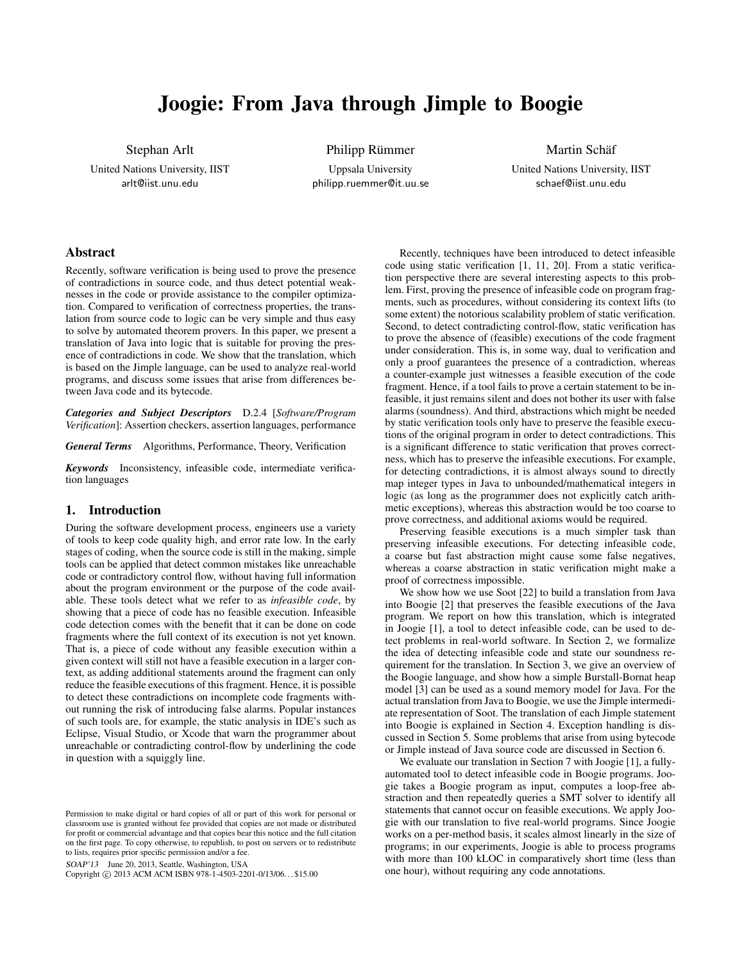# Joogie: From Java through Jimple to Boogie

Stephan Arlt

United Nations University, IIST arlt@iist.unu.edu

Philipp Rümmer

Uppsala University philipp.ruemmer@it.uu.se

Martin Schäf United Nations University, IIST schaef@iist.unu.edu

## Abstract

Recently, software verification is being used to prove the presence of contradictions in source code, and thus detect potential weaknesses in the code or provide assistance to the compiler optimization. Compared to verification of correctness properties, the translation from source code to logic can be very simple and thus easy to solve by automated theorem provers. In this paper, we present a translation of Java into logic that is suitable for proving the presence of contradictions in code. We show that the translation, which is based on the Jimple language, can be used to analyze real-world programs, and discuss some issues that arise from differences between Java code and its bytecode.

*Categories and Subject Descriptors* D.2.4 [*Software/Program Verification*]: Assertion checkers, assertion languages, performance

*General Terms* Algorithms, Performance, Theory, Verification

*Keywords* Inconsistency, infeasible code, intermediate verification languages

## 1. Introduction

During the software development process, engineers use a variety of tools to keep code quality high, and error rate low. In the early stages of coding, when the source code is still in the making, simple tools can be applied that detect common mistakes like unreachable code or contradictory control flow, without having full information about the program environment or the purpose of the code available. These tools detect what we refer to as *infeasible code*, by showing that a piece of code has no feasible execution. Infeasible code detection comes with the benefit that it can be done on code fragments where the full context of its execution is not yet known. That is, a piece of code without any feasible execution within a given context will still not have a feasible execution in a larger context, as adding additional statements around the fragment can only reduce the feasible executions of this fragment. Hence, it is possible to detect these contradictions on incomplete code fragments without running the risk of introducing false alarms. Popular instances of such tools are, for example, the static analysis in IDE's such as Eclipse, Visual Studio, or Xcode that warn the programmer about unreachable or contradicting control-flow by underlining the code in question with a squiggly line.

SOAP'13 June 20, 2013, Seattle, Washington, USA

Copyright © 2013 ACM ACM ISBN 978-1-4503-2201-0/13/06... \$15.00

Recently, techniques have been introduced to detect infeasible code using static verification [1, 11, 20]. From a static verification perspective there are several interesting aspects to this problem. First, proving the presence of infeasible code on program fragments, such as procedures, without considering its context lifts (to some extent) the notorious scalability problem of static verification. Second, to detect contradicting control-flow, static verification has to prove the absence of (feasible) executions of the code fragment under consideration. This is, in some way, dual to verification and only a proof guarantees the presence of a contradiction, whereas a counter-example just witnesses a feasible execution of the code fragment. Hence, if a tool fails to prove a certain statement to be infeasible, it just remains silent and does not bother its user with false alarms (soundness). And third, abstractions which might be needed by static verification tools only have to preserve the feasible executions of the original program in order to detect contradictions. This is a significant difference to static verification that proves correctness, which has to preserve the infeasible executions. For example, for detecting contradictions, it is almost always sound to directly map integer types in Java to unbounded/mathematical integers in logic (as long as the programmer does not explicitly catch arithmetic exceptions), whereas this abstraction would be too coarse to prove correctness, and additional axioms would be required.

Preserving feasible executions is a much simpler task than preserving infeasible executions. For detecting infeasible code, a coarse but fast abstraction might cause some false negatives, whereas a coarse abstraction in static verification might make a proof of correctness impossible.

We show how we use Soot [22] to build a translation from Java into Boogie [2] that preserves the feasible executions of the Java program. We report on how this translation, which is integrated in Joogie [1], a tool to detect infeasible code, can be used to detect problems in real-world software. In Section 2, we formalize the idea of detecting infeasible code and state our soundness requirement for the translation. In Section 3, we give an overview of the Boogie language, and show how a simple Burstall-Bornat heap model [3] can be used as a sound memory model for Java. For the actual translation from Java to Boogie, we use the Jimple intermediate representation of Soot. The translation of each Jimple statement into Boogie is explained in Section 4. Exception handling is discussed in Section 5. Some problems that arise from using bytecode or Jimple instead of Java source code are discussed in Section 6.

We evaluate our translation in Section 7 with Joogie [1], a fullyautomated tool to detect infeasible code in Boogie programs. Joogie takes a Boogie program as input, computes a loop-free abstraction and then repeatedly queries a SMT solver to identify all statements that cannot occur on feasible executions. We apply Joogie with our translation to five real-world programs. Since Joogie works on a per-method basis, it scales almost linearly in the size of programs; in our experiments, Joogie is able to process programs with more than 100 kLOC in comparatively short time (less than one hour), without requiring any code annotations.

Permission to make digital or hard copies of all or part of this work for personal or classroom use is granted without fee provided that copies are not made or distributed for profit or commercial advantage and that copies bear this notice and the full citation on the first page. To copy otherwise, to republish, to post on servers or to redistribute to lists, requires prior specific permission and/or a fee.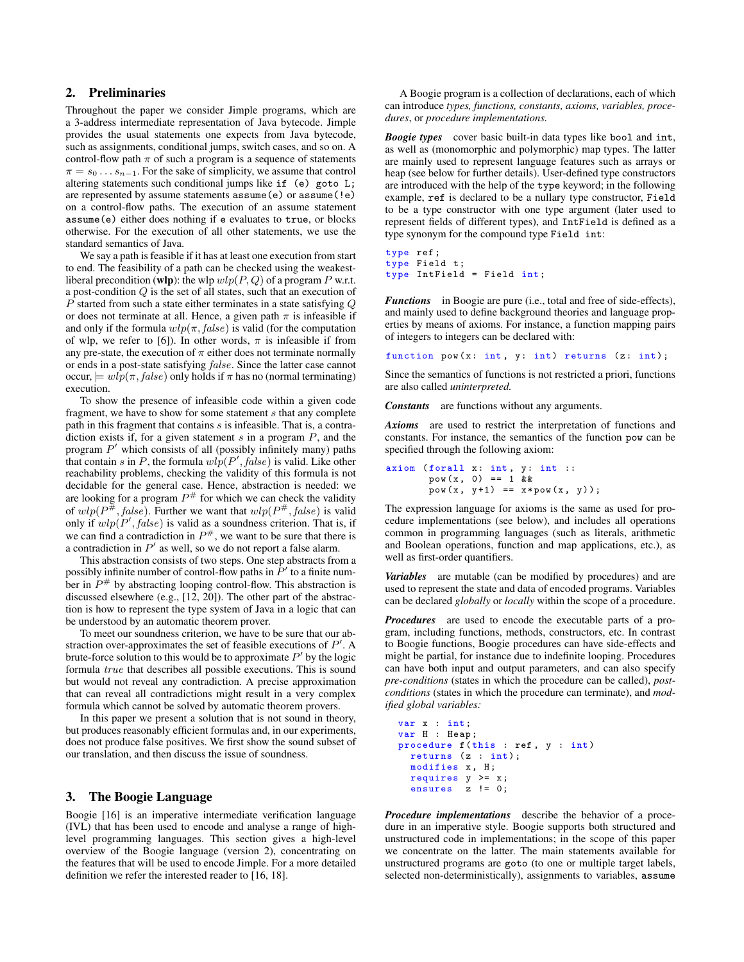# 2. Preliminaries

Throughout the paper we consider Jimple programs, which are a 3-address intermediate representation of Java bytecode. Jimple provides the usual statements one expects from Java bytecode, such as assignments, conditional jumps, switch cases, and so on. A control-flow path  $\pi$  of such a program is a sequence of statements  $\pi = s_0 \dots s_{n-1}$ . For the sake of simplicity, we assume that control altering statements such conditional jumps like if (e) goto L; are represented by assume statements assume(e) or assume(!e) on a control-flow paths. The execution of an assume statement assume(e) either does nothing if e evaluates to true, or blocks otherwise. For the execution of all other statements, we use the standard semantics of Java.

We say a path is feasible if it has at least one execution from start to end. The feasibility of a path can be checked using the weakestliberal precondition (wlp): the wlp  $wlp(P, Q)$  of a program P w.r.t. a post-condition Q is the set of all states, such that an execution of P started from such a state either terminates in a state satisfying Q or does not terminate at all. Hence, a given path  $\pi$  is infeasible if and only if the formula  $wlp(\pi, false)$  is valid (for the computation of wlp, we refer to [6]). In other words,  $\pi$  is infeasible if from any pre-state, the execution of  $\pi$  either does not terminate normally or ends in a post-state satisfying false. Since the latter case cannot occur,  $= wlp(\pi, false)$  only holds if  $\pi$  has no (normal terminating) execution.

To show the presence of infeasible code within a given code fragment, we have to show for some statement  $s$  that any complete path in this fragment that contains s is infeasible. That is, a contradiction exists if, for a given statement  $s$  in a program  $P$ , and the program  $P'$  which consists of all (possibly infinitely many) paths that contain s in P, the formula  $wlp(P',\text{false})$  is valid. Like other reachability problems, checking the validity of this formula is not decidable for the general case. Hence, abstraction is needed: we are looking for a program  $P^{\#}$  for which we can check the validity of  $wlp(P^{\#},\text{false})$ . Further we want that  $wlp(P^{\#},\text{false})$  is valid only if  $wlp(P', false)$  is valid as a soundness criterion. That is, if we can find a contradiction in  $P^{\#}$ , we want to be sure that there is a contradiction in  $P'$  as well, so we do not report a false alarm.

This abstraction consists of two steps. One step abstracts from a possibly infinite number of control-flow paths in  $\hat{P}'$  to a finite number in  $P^{\#}$  by abstracting looping control-flow. This abstraction is discussed elsewhere (e.g., [12, 20]). The other part of the abstraction is how to represent the type system of Java in a logic that can be understood by an automatic theorem prover.

To meet our soundness criterion, we have to be sure that our abstraction over-approximates the set of feasible executions of  $P'$ . A brute-force solution to this would be to approximate  $P'$  by the logic formula true that describes all possible executions. This is sound but would not reveal any contradiction. A precise approximation that can reveal all contradictions might result in a very complex formula which cannot be solved by automatic theorem provers.

In this paper we present a solution that is not sound in theory, but produces reasonably efficient formulas and, in our experiments, does not produce false positives. We first show the sound subset of our translation, and then discuss the issue of soundness.

## 3. The Boogie Language

Boogie [16] is an imperative intermediate verification language (IVL) that has been used to encode and analyse a range of highlevel programming languages. This section gives a high-level overview of the Boogie language (version 2), concentrating on the features that will be used to encode Jimple. For a more detailed definition we refer the interested reader to [16, 18].

A Boogie program is a collection of declarations, each of which can introduce *types, functions, constants, axioms, variables, procedures*, or *procedure implementations.*

**Boogie types** cover basic built-in data types like bool and int, as well as (monomorphic and polymorphic) map types. The latter are mainly used to represent language features such as arrays or heap (see below for further details). User-defined type constructors are introduced with the help of the type keyword; in the following example, ref is declared to be a nullary type constructor, Field to be a type constructor with one type argument (later used to represent fields of different types), and IntField is defined as a type synonym for the compound type Field int:

type ref ; type Field t; type IntField = Field int ;

*Functions* in Boogie are pure (i.e., total and free of side-effects), and mainly used to define background theories and language properties by means of axioms. For instance, a function mapping pairs of integers to integers can be declared with:

function  $pow(x: int, y: int)$  returns  $(z: int);$ 

Since the semantics of functions is not restricted a priori, functions are also called *uninterpreted.*

*Constants* are functions without any arguments.

*Axioms* are used to restrict the interpretation of functions and constants. For instance, the semantics of the function pow can be specified through the following axiom:

```
axiom (forall x: int, y: int ::
       pow(x, 0) == 1 & &
       pow(x, y+1) == x * pow(x, y));
```
The expression language for axioms is the same as used for procedure implementations (see below), and includes all operations common in programming languages (such as literals, arithmetic and Boolean operations, function and map applications, etc.), as well as first-order quantifiers.

*Variables* are mutable (can be modified by procedures) and are used to represent the state and data of encoded programs. Variables can be declared *globally* or *locally* within the scope of a procedure.

*Procedures* are used to encode the executable parts of a program, including functions, methods, constructors, etc. In contrast to Boogie functions, Boogie procedures can have side-effects and might be partial, for instance due to indefinite looping. Procedures can have both input and output parameters, and can also specify *pre-conditions* (states in which the procedure can be called), *postconditions* (states in which the procedure can terminate), and *modified global variables:*

```
var x : int;
var H : Heap;
procedure f(this : ref, y : int)
  returns (z : int) ;
  modifies x, H;
  requires y >= x;
  ensures z != 0;
```
*Procedure implementations* describe the behavior of a procedure in an imperative style. Boogie supports both structured and unstructured code in implementations; in the scope of this paper we concentrate on the latter. The main statements available for unstructured programs are goto (to one or multiple target labels, selected non-deterministically), assignments to variables, assume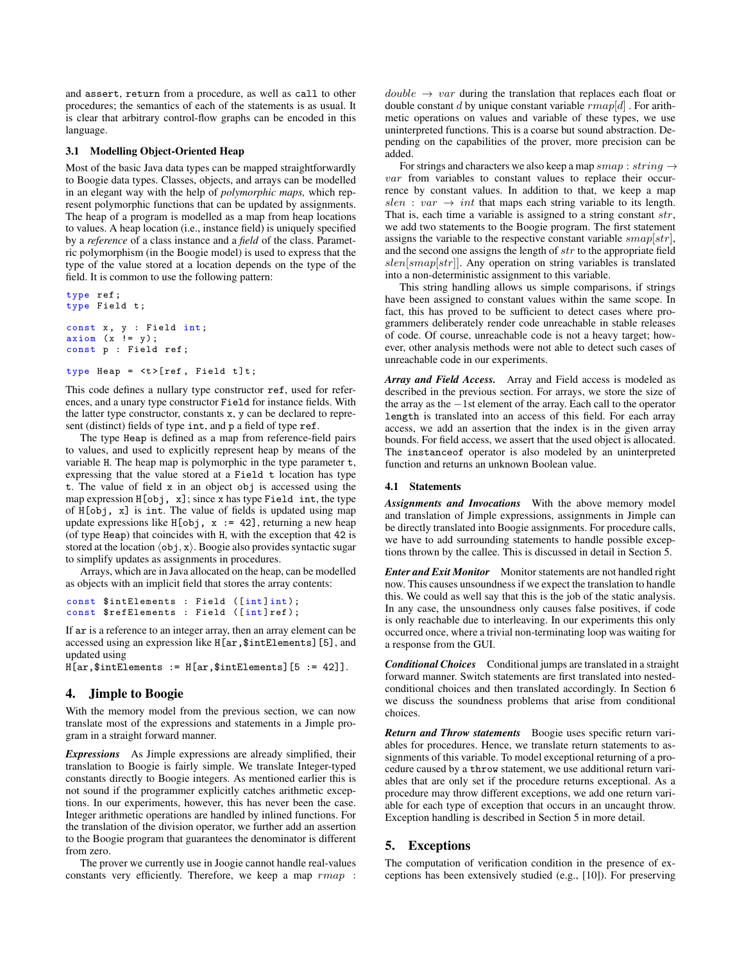and assert, return from a procedure, as well as call to other procedures; the semantics of each of the statements is as usual. It is clear that arbitrary control-flow graphs can be encoded in this language.

#### 3.1 Modelling Object-Oriented Heap

Most of the basic Java data types can be mapped straightforwardly to Boogie data types. Classes, objects, and arrays can be modelled in an elegant way with the help of *polymorphic maps,* which represent polymorphic functions that can be updated by assignments. The heap of a program is modelled as a map from heap locations to values. A heap location (i.e., instance field) is uniquely specified by a *reference* of a class instance and a *field* of the class. Parametric polymorphism (in the Boogie model) is used to express that the type of the value stored at a location depends on the type of the field. It is common to use the following pattern:

```
type ref ;
type Field t;
const x, y : Field int;
axiom (x := y);
const p : Field ref ;
```
#### type Heap =  $lt$   $\text{teif}$ , Field t]t;

This code defines a nullary type constructor ref, used for references, and a unary type constructor Field for instance fields. With the latter type constructor, constants x, y can be declared to represent (distinct) fields of type int, and p a field of type ref.

The type Heap is defined as a map from reference-field pairs to values, and used to explicitly represent heap by means of the variable H. The heap map is polymorphic in the type parameter t, expressing that the value stored at a Field t location has type t. The value of field x in an object obj is accessed using the map expression H[obj, x]; since x has type Field int, the type of H[obj, x] is int. The value of fields is updated using map update expressions like  $H[obj, x := 42]$ , returning a new heap (of type Heap) that coincides with H, with the exception that 42 is stored at the location  $\langle obj, x \rangle$ . Boogie also provides syntactic sugar to simplify updates as assignments in procedures.

Arrays, which are in Java allocated on the heap, can be modelled as objects with an implicit field that stores the array contents:

```
const $intElements : Field ([int]int);
const $refElements : Field ([int]ref);
```
If ar is a reference to an integer array, then an array element can be accessed using an expression like H[ar,\$intElements][5], and updated using

 $H[\text{ar}, $intElements := H[\text{ar}, $intElements][5 := 42]].$ 

# 4. Jimple to Boogie

With the memory model from the previous section, we can now translate most of the expressions and statements in a Jimple program in a straight forward manner.

*Expressions* As Jimple expressions are already simplified, their translation to Boogie is fairly simple. We translate Integer-typed constants directly to Boogie integers. As mentioned earlier this is not sound if the programmer explicitly catches arithmetic exceptions. In our experiments, however, this has never been the case. Integer arithmetic operations are handled by inlined functions. For the translation of the division operator, we further add an assertion to the Boogie program that guarantees the denominator is different from zero.

The prover we currently use in Joogie cannot handle real-values constants very efficiently. Therefore, we keep a map rmap :  $double \rightarrow var$  during the translation that replaces each float or double constant d by unique constant variable  $rmap[d]$ . For arithmetic operations on values and variable of these types, we use uninterpreted functions. This is a coarse but sound abstraction. Depending on the capabilities of the prover, more precision can be added.

For strings and characters we also keep a map  $smap: string \rightarrow$ var from variables to constant values to replace their occurrence by constant values. In addition to that, we keep a map slen :  $var \rightarrow int$  that maps each string variable to its length. That is, each time a variable is assigned to a string constant str, we add two statements to the Boogie program. The first statement assigns the variable to the respective constant variable  $smap[str]$ , and the second one assigns the length of str to the appropriate field  $slen[smap[str]]$ . Any operation on string variables is translated into a non-deterministic assignment to this variable.

This string handling allows us simple comparisons, if strings have been assigned to constant values within the same scope. In fact, this has proved to be sufficient to detect cases where programmers deliberately render code unreachable in stable releases of code. Of course, unreachable code is not a heavy target; however, other analysis methods were not able to detect such cases of unreachable code in our experiments.

*Array and Field Access.* Array and Field access is modeled as described in the previous section. For arrays, we store the size of the array as the −1st element of the array. Each call to the operator length is translated into an access of this field. For each array access, we add an assertion that the index is in the given array bounds. For field access, we assert that the used object is allocated. The instanceof operator is also modeled by an uninterpreted function and returns an unknown Boolean value.

#### 4.1 Statements

*Assignments and Invocations* With the above memory model and translation of Jimple expressions, assignments in Jimple can be directly translated into Boogie assignments. For procedure calls, we have to add surrounding statements to handle possible exceptions thrown by the callee. This is discussed in detail in Section 5.

*Enter and Exit Monitor* Monitor statements are not handled right now. This causes unsoundness if we expect the translation to handle this. We could as well say that this is the job of the static analysis. In any case, the unsoundness only causes false positives, if code is only reachable due to interleaving. In our experiments this only occurred once, where a trivial non-terminating loop was waiting for a response from the GUI.

*Conditional Choices* Conditional jumps are translated in a straight forward manner. Switch statements are first translated into nestedconditional choices and then translated accordingly. In Section 6 we discuss the soundness problems that arise from conditional choices.

*Return and Throw statements* Boogie uses specific return variables for procedures. Hence, we translate return statements to assignments of this variable. To model exceptional returning of a procedure caused by a throw statement, we use additional return variables that are only set if the procedure returns exceptional. As a procedure may throw different exceptions, we add one return variable for each type of exception that occurs in an uncaught throw. Exception handling is described in Section 5 in more detail.

## 5. Exceptions

The computation of verification condition in the presence of exceptions has been extensively studied (e.g., [10]). For preserving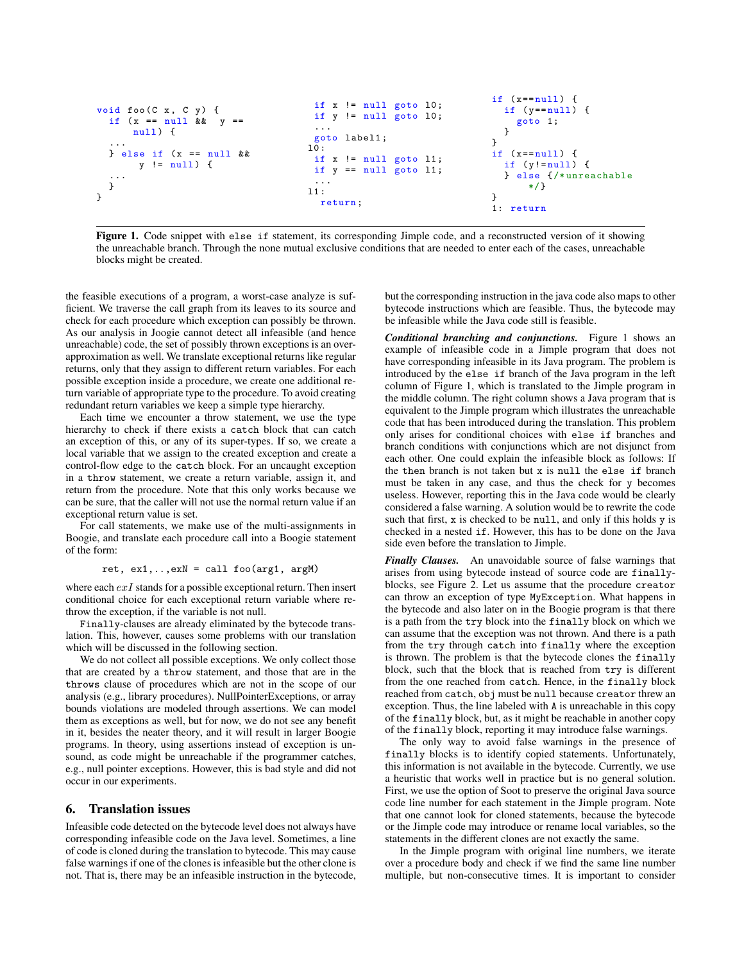```
void foo(C x, C y) {
  if (x == null & g y ==null) {
  ...
  } else if (x == null &y := null) {
  ...
 }
}
                                      if x != null goto 10;
                                      if y != null goto 10;
                                       ...
                                       goto label1 ;
                                     10:if x != null goto l1 ;
                                      if y == null goto 11;
                                       ...
                                     l1 :
                                       return ;
                                                                      if (x == null) {
                                                                        if (y == null) {
                                                                          goto 1;
                                                                        }
                                                                      }
                                                                      if (x == null) {
                                                                        if (y != null) {
                                                                        } else {/* unreachable
                                                                             */}
                                                                      }
                                                                      1: return
```
Figure 1. Code snippet with else if statement, its corresponding Jimple code, and a reconstructed version of it showing the unreachable branch. Through the none mutual exclusive conditions that are needed to enter each of the cases, unreachable blocks might be created.

the feasible executions of a program, a worst-case analyze is sufficient. We traverse the call graph from its leaves to its source and check for each procedure which exception can possibly be thrown. As our analysis in Joogie cannot detect all infeasible (and hence unreachable) code, the set of possibly thrown exceptions is an overapproximation as well. We translate exceptional returns like regular returns, only that they assign to different return variables. For each possible exception inside a procedure, we create one additional return variable of appropriate type to the procedure. To avoid creating redundant return variables we keep a simple type hierarchy.

Each time we encounter a throw statement, we use the type hierarchy to check if there exists a catch block that can catch an exception of this, or any of its super-types. If so, we create a local variable that we assign to the created exception and create a control-flow edge to the catch block. For an uncaught exception in a throw statement, we create a return variable, assign it, and return from the procedure. Note that this only works because we can be sure, that the caller will not use the normal return value if an exceptional return value is set.

For call statements, we make use of the multi-assignments in Boogie, and translate each procedure call into a Boogie statement of the form:

ret,  $ex1, \ldots, exN = cal1$  foo( $arg1, argM$ )

where each  $exI$  stands for a possible exceptional return. Then insert conditional choice for each exceptional return variable where rethrow the exception, if the variable is not null.

Finally-clauses are already eliminated by the bytecode translation. This, however, causes some problems with our translation which will be discussed in the following section.

We do not collect all possible exceptions. We only collect those that are created by a throw statement, and those that are in the throws clause of procedures which are not in the scope of our analysis (e.g., library procedures). NullPointerExceptions, or array bounds violations are modeled through assertions. We can model them as exceptions as well, but for now, we do not see any benefit in it, besides the neater theory, and it will result in larger Boogie programs. In theory, using assertions instead of exception is unsound, as code might be unreachable if the programmer catches, e.g., null pointer exceptions. However, this is bad style and did not occur in our experiments.

# 6. Translation issues

Infeasible code detected on the bytecode level does not always have corresponding infeasible code on the Java level. Sometimes, a line of code is cloned during the translation to bytecode. This may cause false warnings if one of the clones is infeasible but the other clone is not. That is, there may be an infeasible instruction in the bytecode, but the corresponding instruction in the java code also maps to other bytecode instructions which are feasible. Thus, the bytecode may be infeasible while the Java code still is feasible.

*Conditional branching and conjunctions.* Figure 1 shows an example of infeasible code in a Jimple program that does not have corresponding infeasible in its Java program. The problem is introduced by the else if branch of the Java program in the left column of Figure 1, which is translated to the Jimple program in the middle column. The right column shows a Java program that is equivalent to the Jimple program which illustrates the unreachable code that has been introduced during the translation. This problem only arises for conditional choices with else if branches and branch conditions with conjunctions which are not disjunct from each other. One could explain the infeasible block as follows: If the then branch is not taken but x is null the else if branch must be taken in any case, and thus the check for y becomes useless. However, reporting this in the Java code would be clearly considered a false warning. A solution would be to rewrite the code such that first, x is checked to be null, and only if this holds y is checked in a nested if. However, this has to be done on the Java side even before the translation to Jimple.

*Finally Clauses.* An unavoidable source of false warnings that arises from using bytecode instead of source code are finallyblocks, see Figure 2. Let us assume that the procedure creator can throw an exception of type MyException. What happens in the bytecode and also later on in the Boogie program is that there is a path from the try block into the finally block on which we can assume that the exception was not thrown. And there is a path from the try through catch into finally where the exception is thrown. The problem is that the bytecode clones the finally block, such that the block that is reached from try is different from the one reached from catch. Hence, in the finally block reached from catch, obj must be null because creator threw an exception. Thus, the line labeled with A is unreachable in this copy of the finally block, but, as it might be reachable in another copy of the finally block, reporting it may introduce false warnings.

The only way to avoid false warnings in the presence of finally blocks is to identify copied statements. Unfortunately, this information is not available in the bytecode. Currently, we use a heuristic that works well in practice but is no general solution. First, we use the option of Soot to preserve the original Java source code line number for each statement in the Jimple program. Note that one cannot look for cloned statements, because the bytecode or the Jimple code may introduce or rename local variables, so the statements in the different clones are not exactly the same.

In the Jimple program with original line numbers, we iterate over a procedure body and check if we find the same line number multiple, but non-consecutive times. It is important to consider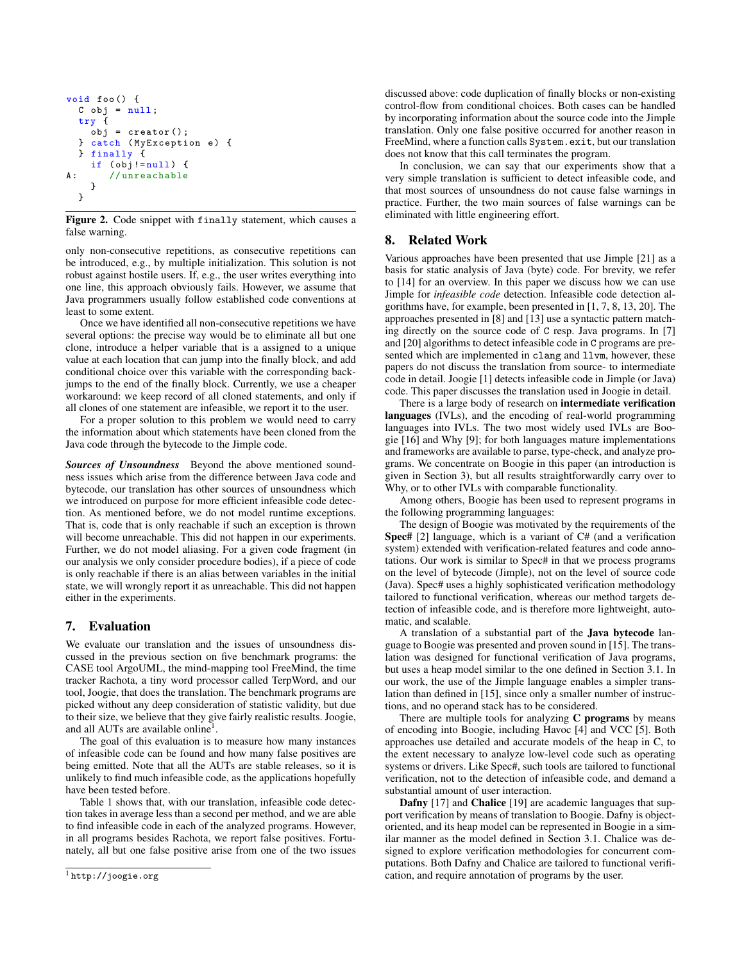```
void foo () {
  C obj = null;try {
    obj = creator () ;
  } catch (MyException e) {
  } finally {
    if (obj != null) {
A: // unreachable
    }
 }
```
Figure 2. Code snippet with finally statement, which causes a false warning.

only non-consecutive repetitions, as consecutive repetitions can be introduced, e.g., by multiple initialization. This solution is not robust against hostile users. If, e.g., the user writes everything into one line, this approach obviously fails. However, we assume that Java programmers usually follow established code conventions at least to some extent.

Once we have identified all non-consecutive repetitions we have several options: the precise way would be to eliminate all but one clone, introduce a helper variable that is a assigned to a unique value at each location that can jump into the finally block, and add conditional choice over this variable with the corresponding backjumps to the end of the finally block. Currently, we use a cheaper workaround: we keep record of all cloned statements, and only if all clones of one statement are infeasible, we report it to the user.

For a proper solution to this problem we would need to carry the information about which statements have been cloned from the Java code through the bytecode to the Jimple code.

*Sources of Unsoundness* Beyond the above mentioned soundness issues which arise from the difference between Java code and bytecode, our translation has other sources of unsoundness which we introduced on purpose for more efficient infeasible code detection. As mentioned before, we do not model runtime exceptions. That is, code that is only reachable if such an exception is thrown will become unreachable. This did not happen in our experiments. Further, we do not model aliasing. For a given code fragment (in our analysis we only consider procedure bodies), if a piece of code is only reachable if there is an alias between variables in the initial state, we will wrongly report it as unreachable. This did not happen either in the experiments.

## 7. Evaluation

We evaluate our translation and the issues of unsoundness discussed in the previous section on five benchmark programs: the CASE tool ArgoUML, the mind-mapping tool FreeMind, the time tracker Rachota, a tiny word processor called TerpWord, and our tool, Joogie, that does the translation. The benchmark programs are picked without any deep consideration of statistic validity, but due to their size, we believe that they give fairly realistic results. Joogie, and all AUTs are available online<sup>1</sup>.

The goal of this evaluation is to measure how many instances of infeasible code can be found and how many false positives are being emitted. Note that all the AUTs are stable releases, so it is unlikely to find much infeasible code, as the applications hopefully have been tested before.

Table 1 shows that, with our translation, infeasible code detection takes in average less than a second per method, and we are able to find infeasible code in each of the analyzed programs. However, in all programs besides Rachota, we report false positives. Fortunately, all but one false positive arise from one of the two issues

discussed above: code duplication of finally blocks or non-existing control-flow from conditional choices. Both cases can be handled by incorporating information about the source code into the Jimple translation. Only one false positive occurred for another reason in FreeMind, where a function calls System.exit, but our translation does not know that this call terminates the program.

In conclusion, we can say that our experiments show that a very simple translation is sufficient to detect infeasible code, and that most sources of unsoundness do not cause false warnings in practice. Further, the two main sources of false warnings can be eliminated with little engineering effort.

# 8. Related Work

Various approaches have been presented that use Jimple [21] as a basis for static analysis of Java (byte) code. For brevity, we refer to [14] for an overview. In this paper we discuss how we can use Jimple for *infeasible code* detection. Infeasible code detection algorithms have, for example, been presented in [1, 7, 8, 13, 20]. The approaches presented in [8] and [13] use a syntactic pattern matching directly on the source code of C resp. Java programs. In [7] and [20] algorithms to detect infeasible code in C programs are presented which are implemented in clang and llvm, however, these papers do not discuss the translation from source- to intermediate code in detail. Joogie [1] detects infeasible code in Jimple (or Java) code. This paper discusses the translation used in Joogie in detail.

There is a large body of research on intermediate verification languages (IVLs), and the encoding of real-world programming languages into IVLs. The two most widely used IVLs are Boogie [16] and Why [9]; for both languages mature implementations and frameworks are available to parse, type-check, and analyze programs. We concentrate on Boogie in this paper (an introduction is given in Section 3), but all results straightforwardly carry over to Why, or to other IVLs with comparable functionality.

Among others, Boogie has been used to represent programs in the following programming languages:

The design of Boogie was motivated by the requirements of the Spec# [2] language, which is a variant of C# (and a verification system) extended with verification-related features and code annotations. Our work is similar to Spec# in that we process programs on the level of bytecode (Jimple), not on the level of source code (Java). Spec# uses a highly sophisticated verification methodology tailored to functional verification, whereas our method targets detection of infeasible code, and is therefore more lightweight, automatic, and scalable.

A translation of a substantial part of the Java bytecode language to Boogie was presented and proven sound in [15]. The translation was designed for functional verification of Java programs, but uses a heap model similar to the one defined in Section 3.1. In our work, the use of the Jimple language enables a simpler translation than defined in [15], since only a smaller number of instructions, and no operand stack has to be considered.

There are multiple tools for analyzing C programs by means of encoding into Boogie, including Havoc [4] and VCC [5]. Both approaches use detailed and accurate models of the heap in C, to the extent necessary to analyze low-level code such as operating systems or drivers. Like Spec#, such tools are tailored to functional verification, not to the detection of infeasible code, and demand a substantial amount of user interaction.

Dafny [17] and Chalice [19] are academic languages that support verification by means of translation to Boogie. Dafny is objectoriented, and its heap model can be represented in Boogie in a similar manner as the model defined in Section 3.1. Chalice was designed to explore verification methodologies for concurrent computations. Both Dafny and Chalice are tailored to functional verification, and require annotation of programs by the user.

<sup>1</sup> http://joogie.org